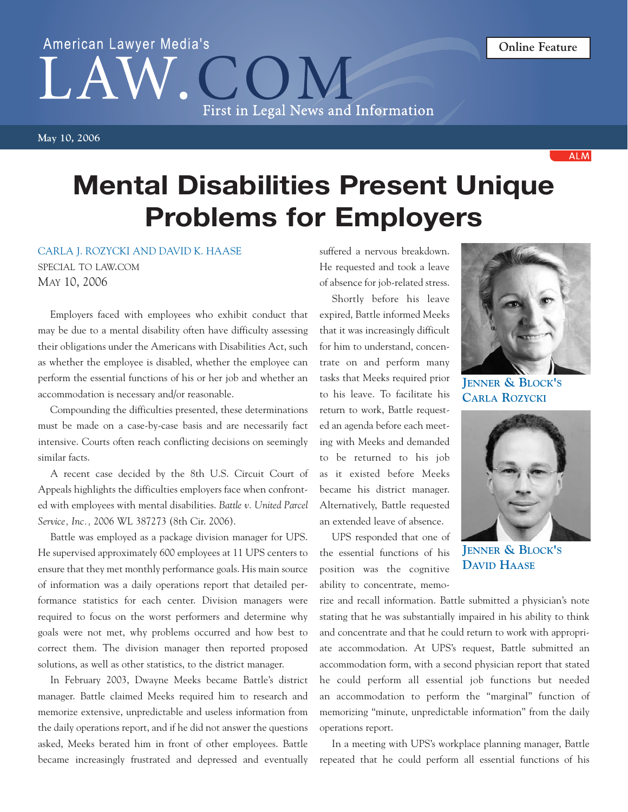## American Lawyer Media's First in Legal News and Information

**ALM** 

## **Mental Disabilities Present Unique Problems for Employers**

## CARLA J. ROZYCKI AND DAVID K. HAASE

SPECIAL TO LAW.COM MAY 10, 2006

Employers faced with employees who exhibit conduct that may be due to a mental disability often have difficulty assessing their obligations under the Americans with Disabilities Act, such as whether the employee is disabled, whether the employee can perform the essential functions of his or her job and whether an accommodation is necessary and/or reasonable.

Compounding the difficulties presented, these determinations must be made on a case-by-case basis and are necessarily fact intensive. Courts often reach conflicting decisions on seemingly similar facts.

A recent case decided by the 8th U.S. Circuit Court of Appeals highlights the difficulties employers face when confronted with employees with mental disabilities. *Battle v. United Parcel Service, Inc.,* 2006 WL 387273 (8th Cir. 2006).

Battle was employed as a package division manager for UPS. He supervised approximately 600 employees at 11 UPS centers to ensure that they met monthly performance goals. His main source of information was a daily operations report that detailed performance statistics for each center. Division managers were required to focus on the worst performers and determine why goals were not met, why problems occurred and how best to correct them. The division manager then reported proposed solutions, as well as other statistics, to the district manager.

In February 2003, Dwayne Meeks became Battle's district manager. Battle claimed Meeks required him to research and memorize extensive, unpredictable and useless information from the daily operations report, and if he did not answer the questions asked, Meeks berated him in front of other employees. Battle became increasingly frustrated and depressed and eventually

suffered a nervous breakdown. He requested and took a leave of absence for job-related stress.

Shortly before his leave expired, Battle informed Meeks that it was increasingly difficult for him to understand, concentrate on and perform many tasks that Meeks required prior to his leave. To facilitate his return to work, Battle requested an agenda before each meeting with Meeks and demanded to be returned to his job as it existed before Meeks became his district manager. Alternatively, Battle requested an extended leave of absence.

UPS responded that one of the essential functions of his position was the cognitive ability to concentrate, memo-



**JENNER & BLOCK'S CARLA ROZYCKI**



**JENNER & BLOCK'S DAVID HAASE**

rize and recall information. Battle submitted a physician's note stating that he was substantially impaired in his ability to think and concentrate and that he could return to work with appropriate accommodation. At UPS's request, Battle submitted an accommodation form, with a second physician report that stated he could perform all essential job functions but needed an accommodation to perform the "marginal" function of memorizing "minute, unpredictable information" from the daily operations report.

In a meeting with UPS's workplace planning manager, Battle repeated that he could perform all essential functions of his